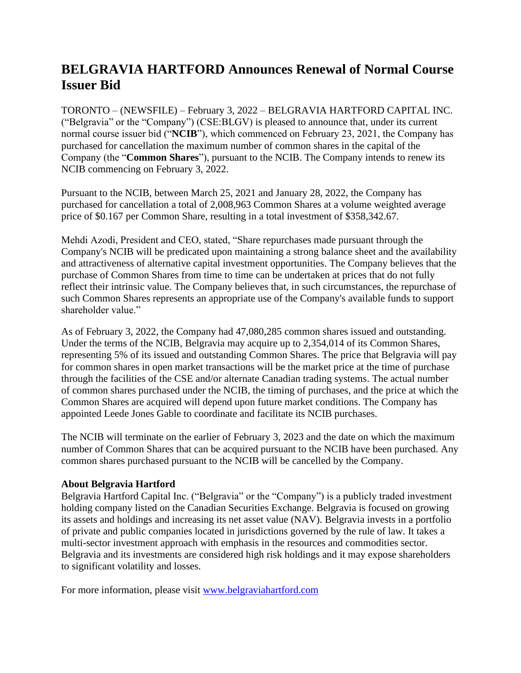## **BELGRAVIA HARTFORD Announces Renewal of Normal Course Issuer Bid**

TORONTO – (NEWSFILE) – February 3, 2022 – BELGRAVIA HARTFORD CAPITAL INC. ("Belgravia" or the "Company") (CSE:BLGV) is pleased to announce that, under its current normal course issuer bid ("**NCIB**"), which commenced on February 23, 2021, the Company has purchased for cancellation the maximum number of common shares in the capital of the Company (the "**Common Shares**"), pursuant to the NCIB. The Company intends to renew its NCIB commencing on February 3, 2022.

Pursuant to the NCIB, between March 25, 2021 and January 28, 2022, the Company has purchased for cancellation a total of 2,008,963 Common Shares at a volume weighted average price of \$0.167 per Common Share, resulting in a total investment of \$358,342.67.

Mehdi Azodi, President and CEO, stated, "Share repurchases made pursuant through the Company's NCIB will be predicated upon maintaining a strong balance sheet and the availability and attractiveness of alternative capital investment opportunities. The Company believes that the purchase of Common Shares from time to time can be undertaken at prices that do not fully reflect their intrinsic value. The Company believes that, in such circumstances, the repurchase of such Common Shares represents an appropriate use of the Company's available funds to support shareholder value."

As of February 3, 2022, the Company had 47,080,285 common shares issued and outstanding. Under the terms of the NCIB, Belgravia may acquire up to 2,354,014 of its Common Shares, representing 5% of its issued and outstanding Common Shares. The price that Belgravia will pay for common shares in open market transactions will be the market price at the time of purchase through the facilities of the CSE and/or alternate Canadian trading systems. The actual number of common shares purchased under the NCIB, the timing of purchases, and the price at which the Common Shares are acquired will depend upon future market conditions. The Company has appointed Leede Jones Gable to coordinate and facilitate its NCIB purchases.

The NCIB will terminate on the earlier of February 3, 2023 and the date on which the maximum number of Common Shares that can be acquired pursuant to the NCIB have been purchased. Any common shares purchased pursuant to the NCIB will be cancelled by the Company.

## **About Belgravia Hartford**

Belgravia Hartford Capital Inc. ("Belgravia" or the "Company") is a publicly traded investment holding company listed on the Canadian Securities Exchange. Belgravia is focused on growing its assets and holdings and increasing its net asset value (NAV). Belgravia invests in a portfolio of private and public companies located in jurisdictions governed by the rule of law. It takes a multi-sector investment approach with emphasis in the resources and commodities sector. Belgravia and its investments are considered high risk holdings and it may expose shareholders to significant volatility and losses.

For more information, please visit [www.belgraviahartford.com](http://www.belgraviahartford.com/)